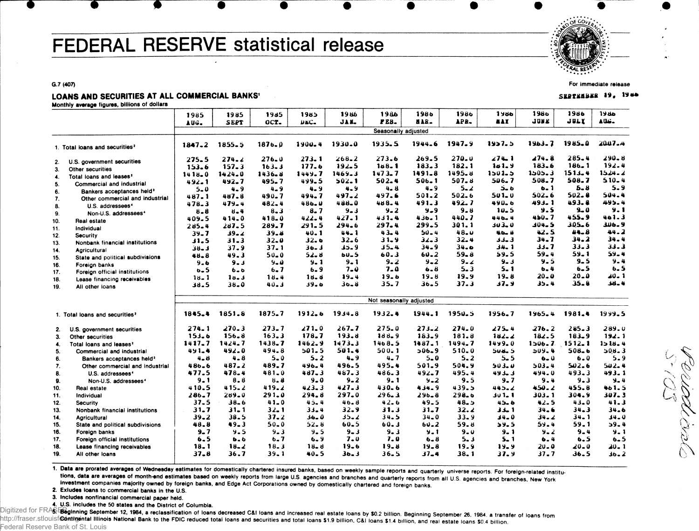# FEDERAL RESERVE statistical release

 $\sim 0$   $\mu_{\ell_{\ell}}$ .

**For immediate release**

SEBTENBER 19, 1986

Periodic

W **N** 

**G.7 (407)**

### LOANS AND SECURITIES AT ALL COMMERCIAL BANKS

**Monthly average figures, billions of dollars**

|              |                                            | 1985       | 1985             | 1985       | 1985        | 1986       | 1986                    | 1986      | 1986      | 1986            | 1980        | 1986       | 1986        |
|--------------|--------------------------------------------|------------|------------------|------------|-------------|------------|-------------------------|-----------|-----------|-----------------|-------------|------------|-------------|
|              |                                            | AUG.       | SEPT             | OCT.       | <b>DEC-</b> | JAN.       | PEB.                    | HAR.      | APR.      | <b>MAY</b>      | <b>JUNE</b> | JULY       | <b>AUG.</b> |
|              |                                            |            |                  |            |             |            | Seasonally adjusted     |           |           |                 |             |            |             |
|              |                                            |            |                  |            |             |            |                         |           |           |                 |             |            |             |
|              | 1. Total loans and securities <sup>2</sup> | $1847 - 2$ | $1855 - 5$       | $1876 - 0$ | 1900.4      | 1930.0     | 1935.5                  | 1944.6    | 1947.9    | 1957.5          | $1963 - 7$  | 1985.0     | 2007-4      |
|              |                                            | $275 - 5$  | 274.2            | $276 - 0$  | $273 - 1$   | $268 - 2$  | 273.6                   | 269.5     | $270 - 0$ | 274.1           | 274.8       | $285 - 4$  | $290 - 8$   |
| 2.           | U.S. government securities                 | 153.6      | $157 - 3$        | 163.3      | 177.6       | $192 - 5$  | 148.1                   | $183 - 3$ | 182.1     | 141.9           | 183.6       | $186 - 1$  | 192.4       |
| 3.           | Other securities                           | 1418.0     | $1424 - 0$       | 1436.8     | 1449.7      | $1469 - 3$ | 1473.7                  | 1491.8    | 1495.8    | $1501 - 5$      | $1.505 - 3$ | $1513 - 4$ | 1524.2      |
| 4.           | Total loans and leases <sup>2</sup>        | 492.1      | 492.7            | 495.7      | 499.5       | $502 - 1$  | 502.4                   | $506 - 1$ | $507 - 3$ | 506.7           | 508.7       | 508.7      | $510 - 4$   |
| 5.           | Commercial and industrial                  | $5 - 0$    | 4.9              | $4 - 9$    | $4 - 9$     | 4.9        | 4. 8                    | $4 - 9$   | 5. Z      | ه دځ            | $6 - 1$     | 5.8        | $5 - 9$     |
| 6.           | Bankers acceptances held <sup>3</sup>      | 487.1      | 487.8            | $490 - 7$  | $494 - 7$   | $497 - 2$  | 497.6                   | 501.2     | 502.6     | 501.0           | 502.6       | 502.8      | 504.4       |
| $\mathbf{7}$ | Other commercial and industrial            | 478.3      | $479 - 4$        | 482.4      | $486 - U$   | 488.0      | 488.4                   | 491.3     | 492.7     | 490.6           | $493 - 1$   | 493.8      | 495.4       |
| 8.           | U.S. addressees <sup>4</sup>               | 8.8        | 8.4              | $8 - 3$    | 8.7         | 9.3        | $9 - 2$                 | 9.9       | $9 - 8$   | $10 - 5$        | 9.5         | $9 - 0$    | $9 - 1$     |
| 9.           | Non-U.S. addressees <sup>4</sup>           | 409.5      | $414 - 0$        | 418.0      | $422 - 4$   | 427.1      | $431 - 4$               | $436 - 1$ | 440.7     | 446.4           | 450.7       | 455.9      | 461.3       |
| 10.          | Real estate                                | $285 - 4$  | 287.5            | 289.7      | 291.5       | 294.6      | 297.4                   | $299 - 5$ | 301.1     | 303.0           | 104.5       | 305.6      | 306.9       |
| 11.          | Individual                                 | $39 - 7$   | $39 - 2$         | 39.8       | $40 - 1$    | 44.1       | $43 - 4$                | $50 - 4$  | 48.0      | 46.4            | 42.5        | $44 - 8$   | $44 - 2$    |
| 12.          | Security                                   | 11.5       | $31 - 3$         | $32 - 0$   | 32.6        | 32.6       | $31 - 9$                | 32_3      | $32 - 4$  | 3 ـ د د         | 34.7        | $34 - 2$   | $34 - 4$    |
| 13.          | Nonbank financial institutions             | د ـ8ز      | 37.9             | $37 - 1$   | 36. 3       | 9 ـ ذك     | $35 - 4$                | $34 - 9$  | $34 - 9$  | 34.1            | $33 - 7$    | 33.3       | 33.3        |
| 14.          | Agricultural                               | $48 - 8$   | 49.3             | $50 - 0$   | 52.8        | 60.S       | 60.3                    | 60.2      | 59. a     | 59.5            | $59 - 4$    | $59 - 1$   | 59.4        |
| 15.          | State and political subdivisions           | $9 - 6$    | د ـ 9            | $9 - 0$    | $9 - 1$     | 9.1        | $9 - 2$                 | $9 - 2$   | 9.2       | $9 - 3$         | $9 - 5$     | $9 - 5$    | $9 - 4$     |
| 16.          | Foreign banks                              | <b>b.5</b> |                  | $6 - 7$    | $6 - 9$     | $7 - Q$    | $7 - 0$                 | $6 - 6$   | 5.3       | $5 - 1$         | $b - 4$     | 6.5        | 6.5         |
| 17.          | Foreign official institutions              |            | $6 - 6$          | 18.4       | 18.8        | $19 - 4$   | 19.6                    | 19.8      | 19,9      | $19 - 8$        | $20 - 0$    | 20.0       | $20 - 1$    |
| 18.          | Lease financing receivables                | 18.1       | 18.3<br>$38 - 0$ | $40 - 3$   | ه ولاد      | 36.8       | 35.7                    | $36 - 5$  | 37.3      | 37.9            | 35.4        | $35 - 8$   | $38 - 4$    |
| 19.          | All other loans                            | 38.5       |                  |            |             |            |                         |           |           |                 |             |            |             |
|              |                                            |            |                  |            |             |            | Not seasonally adjusted |           |           |                 |             |            |             |
|              |                                            |            |                  |            |             |            |                         |           |           |                 |             |            |             |
|              | 1. Total loans and securities <sup>2</sup> | 1845.4     | 1851.8           | 1875.7     | $1912 - 6$  | $1934 - 8$ | 1932.4                  | 1944.1    | 1950.5    | 1956.7          | 1965.4      | 1981.4     | 1999.5      |
| 2.           | U.S. government securities                 | $274 - 1$  | 270.3            | 273.7      | 271.0       | $267 - 7$  | 275.0                   | 273.2     | 274.0     | $275 - 4$       | 276.2       | $285 - 3$  | 289.0       |
| 3.           | Other securities                           | 153.6      | 156.8            | 163.3      | 178.7       | 193.8      | 188.9                   | $183 - 9$ | 181.8     | $182 - 2$       | 182.5       | $183 - 9$  | 192.1       |
| 4.           | Total loans and leases <sup>2</sup>        | $1417 - 7$ | $1424 - 7$       | 1438.7     | 1462.9      | 1473.3     | 1468.5                  | 1487.1    | 1494.7    | 1499.0          | 1506.7      | $1512 - 1$ | 1518.4      |
| 5.           | Commercial and industrial                  | $491 - 4$  | 492.0            | 494.8      | 501.5       | 501.4      | 500.1                   | $506 - 9$ | $510 - 0$ | 5 ـه بان        | 509.4       | 508-6      | $208 - 3$   |
| 6.           | Bankers acceptances held <sup>3</sup>      | $4 - 8$    | $4 - 8$          | 5.0        | 5.2         | $4 - 9$    | $4 - 7$                 | $5 - 0$   | 5.2       | $5 - 5$         | $6 - Q$     | 6.0        | $5 - 9$     |
| 7.           | Other commercial and industrial            | 486.6      | $487 - 2$        | 489.7      | 496.4       | 496.5      | 495.4                   | 501.9     | 504.9     | 503.0           | 503.4       | 502.6      | 542.4       |
| 8.           | U.S. addressees <sup>4</sup>               | 477.5      | 478.4            | 481.0      | $487 - 3$   | 487.3      | 486.3                   | $492 - 7$ | 495.4     | 493.3           | 494.0       | 493.3      | 493.1       |
| 9.           | Non-U.S. addressees <sup>4</sup>           | $9 - 1$    | $8 - 8$          | $8 - 8$    | $9 - 0$     | $9 - 2$    | 9.1                     | $9 - 2$   | 9.5       | 9.7             | 9.4         | $9 - 3$    | $9 - 4$     |
| 10.          | Real estate                                | 410.5      | $415 - 2$        | 419.2      | 423.3       | 427.3      | $430 - 6$               | 434.9     | 439.5     | 445.2           | $450 - 2$   | 455.8      | 461.5       |
| 11.          | Individual                                 | 286.7      | $289 - 0$        | 291.0      | 294.8       | $297 - 0$  | $296 - 3$               | $296 - 8$ | 298.6     | 30 1 <b>.</b> 1 | 303.1       | 304.9      | 307.3       |
| 12.          | Security                                   | 37.5       | $38 - 6$         | $41 - 0$   | 45.4        | 46.8       | 42.6                    | $49 - 5$  | 48.5      | $45 - 6$        | 42.5        | $43 - 0$   | 41.3        |
| 13.          | Nonbank financial institutions             | $31 - 7$   | $31 - 1$         | $32 - 1$   | $33 - 4$    | $32 - 9$   | 31.3                    | $31 - 7$  | 32.2      | 33.1            | 34.6        | $34 - 3$   | 34.6        |
| 14.          | <b>Agricultural</b>                        | $39 - 2$   | 38.5             | 37.2       | $36 - 0$    | 25.2       | 34.5                    | 34.0      | $33 - 9$  | 0 ـ 34          | 34.2        | $34 - 1$   | $34 - 0$    |
| 15.          | State and political subdivisions           | 48.8       | $49 - 3$         | $50 - 0$   | $52 - 8$    | $60 - 5$   | 60.3                    | $60 - 2$  | 59.8      | 59.5            | 59.4        | 59.1       | 59.4        |
| 16.          | <b>Foreign banks</b>                       | $9 - 7$    | 9.5              | $9 - 3$    | 9.5         | $9 - 3$    | 9.3                     | 9.1       | 9.0       | $9 - 1$         | $9 - 2$     | $9 - 4$    | $9 - 1$     |
| 17.          | Foreign official institutions              | 6.5        | $b - b$          | 6.7        | $6 - 9$     | $7 - 0$    | 7.0                     | $6 - 8$   | 5.3       | $5 - 1$         | 6.4         | 6.5        | $6 - 5$     |
| 18.          | Lease financing receivables                | $18 - 1$   | $18 - 2$         | 18.3       | $18 - 8$    | $19 - 6$   | $19 - 8$                | $19 - 8$  | 19.9      | $19 - 9$        | $20 - 0$    | 20-0       | 20.1        |
| 19.          | All other loans                            | $37 - 8$   | 36.7             | $39 - 1$   | 40.5        | $36 - 3$   | $36 - 5$                | 37_4      | 38. 1     | 37.9            | 37.7        | 36.5       | $36 - 2$    |
|              |                                            |            |                  |            |             |            |                         |           |           |                 |             |            |             |

1. Data are prorated averages of Wednesday estimates for domestically chartered insured banks, based on weekly sample reports and quarterly universe reports. For foreign-related institutions, data are averages of month-end estimates based on weekly reports from large U.S. agencies and branches and quarterly reports from all U.S. agencies and branches, New York investment companies majority owned by foreign banks, and Edge Act Corporations owned by domestically chartered and foreign banks.

**2. Exludes loans to commercial banks in the U.S.**

**3. Includes nonflnancial commercial paper held.**

**4. U.S. includes the 50 states and the District of Columbia.**

Digitized for FRASEB ginning September 12, 1984, a reclassification of loans decreased C&I loans and increased real estate loans by \$0.2 billion. Beginning September 26, 1984, a transfer of loans from http://fraser.stlouisf@ontingental Illinois National Bank to the FDIC reduced total loans and securities and total loans \$1.9 billion, C&I loans \$1.4 billion, and real estate loans \$0.4 billion Federal Reserve Bank of St. Louis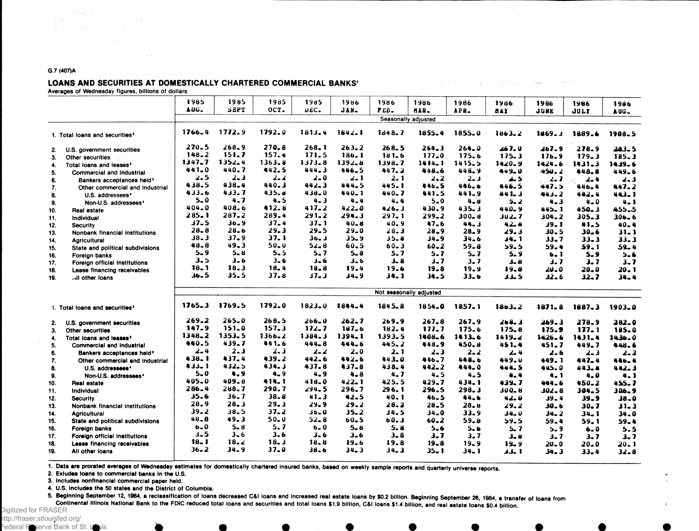of average and the con-**SAN STATISTICS** 

and the model of a state of the section of the

#### **G.7 (407)A**

#### LOANS AND SECURITIES AT DOMESTICALLY CHARTERED COMMERCIAL BANKS'

**Averages of Wednesday figures, billions of dollars**

|     |                                            | 1985       | 1985       | 1985       | 1985       | 1986       | 1986         | 1986                    | 1986       | 1986       | 1986            | 1966       | 1986       |
|-----|--------------------------------------------|------------|------------|------------|------------|------------|--------------|-------------------------|------------|------------|-----------------|------------|------------|
|     |                                            | AUG.       | SEPT       | OCT.       | DEC.       | JAN.       | PEB.         | MAR.                    | APR.       | 8AY        | JUNE            | JULY       | AUG.       |
|     |                                            |            |            |            |            |            |              | Seasonally adjusted     |            |            |                 |            |            |
|     | 1. Total loans and securities <sup>2</sup> | 1766.4     | 1772.9     | $1792 - 0$ | $1813 - 4$ | $1642 - 1$ | $1d + 8 - 7$ | 1855.4                  | 1855.0     | $1863 - 2$ | 1469.3          | 1889.6     | 1908.5     |
| 2.  | U.S. government securities                 | 270.5      | 268.9      | $270 - 8$  | $268 - 1$  | $263 - 2$  | 268.5        | $264 - 3$               | $264 - 0$  | 467.0      | 267.9           | 278.9      | 283.5      |
| 3.  | <b>Other securities</b>                    | $148 - 2$  | 151.7      | 157.4      | 171.5      | 186.1      | 181.6        | $177 - 0$               | 175.6      | 175.3      | 176.9           | 179.3      | 185.3      |
| 4.  | Total loans and leases <sup>2</sup>        | 1347.7     | $1352 - 4$ | $1363 - 8$ | 1373.8     | $1392 - 8$ | 1398.7       | $1414 - 1$              | 1415.5     | 1420.9     | 1424.6          | $1431 - 3$ | 1439.6     |
| 5.  | Commercial and industrial                  | $441 - 0$  | 440.7      | 442.5      | 444.3      | 446.5      | 447.2        | 448.6                   | 448.9      | 449.0      | 450.2           | 448.8      | 449.6      |
| 6.  | Bankers acceptances held <sup>3</sup>      | 2.5        | $2 - 3$    | $2 - 2$    | 2.0        | ا -2       | 2.1          | $2 - 2$                 | $2 - 3$    | 4.5        | $2 - 7$<br>di a | $-2-4$     | 2.3        |
| 7.  | Other commercial and industrial            | 438.5      | 438.4      | 440.3      | $442 - 3$  | 444.5      | 445.1        | 446.5                   | 446.6      | 446.5      | 447.5           | 446.4      | 447.2      |
| 8.  | U.S. addressees <sup>4</sup>               | 433.6      | 433.7      | 435.8      | 438.0      | 440.1      | 440.7        | 441.5                   | 441.9      | 441.3      | 443.2           | 442.4      | 443.1      |
| 9.  | Non-U.S. addressees <sup>4</sup>           | $5 - 0$    | 4.7        | $4 - 5$    | $4 - 3$    | $4 - 4$    | $4 - 4$      | $5 - 0$                 | $4 - 8$    | 5. 2       | $4 - 3$         | 4.0        | 4.1        |
| 10. | <b>Real estate</b>                         | 404.0      | 408.6      | 412.8      | 417.2      | 422.0      | $426 - 3$    | 430.9                   | $435 - 3$  | 440.9      | 445.1           | $450 - 3$  | 455.5      |
| 11. | Individual                                 | $285 - 1$  | 287.2      | 289.4      | $291 - 2$  | 294.3      | 297.1        | $299 - 2$               | $300 - 8$  | $302 - 7$  | 304.2           | $305 - 3$  | $306 - 6$  |
| 12. | <b>Security</b>                            | $37 - 5$   | 36.9       | 37_4       | $37 - 1$   | $40 - 8$   | $40 - 9$     | 47.6                    | 44.3       | 42.4       | $39 - 1$        | 41.5       | $40 - 4$   |
| 13. | Nonbank financial institutions             | $28 - 8$   | 28.6       | $29 - 3$   | $29 - 5$   | $29 - 0$   | 28.3         | $28 - 9$                | 28.9       | 29.3       | $30 - 5$        | $30 - 6$   | $31 - 1$   |
| 14. | <b>Agricultural</b>                        | $38 - 3$   | $37 - 9$   | 37.1       | 30.3       | 35.9       | 35.4         | 34.9                    | $34 - 6$   | 1 ـ4 ل     | 33.7            | $33 - 3$   | 33.3       |
| 15. | State and political subdivisions           | 48.8       | 49.3       | $50 - 0$   | 52.8       | $60 - 5$   | $60 - 3$     | $60 - 2$                | $59 - 8$   | 59.5       | 59.4            | 59.1       | $59 - 4$   |
| 16. | Foreign banks                              | $5 - 9$    | $5 - 8$    | $5 - 5$    | 5.7        | $5 - 8$    | 5.7          | $5 - 7$                 | $5 - 7$    | $5 - 9$    | 6.1             | 5.9        | $5 - 6$    |
| 17. | Foreign official institutions              | 3.5        | $3 - 6$    | $3 - 6$    | 6 دۇ       | $3 - 6$    | $3 - 8$      | $3 - 7$                 | $3 - 7$    | 3. B       | 3.7             | 3.7        | $3 - 7$    |
| 18. | Lease financing receivables                | $18 - 1$   | 18.3       | 18.4       | 18.8       | 19.4       | 19.6         | $19 - 8$                | 19.9       | 19.8       | 20.O            | $20 - 0$   | 20.1       |
| 19. | all other loans                            | 36.5       | 35.5       | 37.8       | $37 - 3$   | 34.9       | 34.1         | 34.5                    | $33 - 6$   | 5 خدد      | $32 - 6$        | $32 - 7$   | $34 - 4$   |
|     |                                            |            |            |            |            |            |              | Not seasonally adjusted |            |            |                 |            |            |
|     |                                            |            |            |            |            |            |              |                         |            |            |                 |            |            |
|     | 1. Total loans and securities <sup>2</sup> | $1765 - 3$ | 1769.5     | 1792.0     | $1823 - 0$ | 1844.4     | 1845.8       | 1854.0                  | $1857 - 1$ | 1863.2     | 1871.8          | 1687.3     | 1903.0     |
| 2.  | U.S. government securities                 | 269.2      | 265.0      | $268 - 5$  | $266 - 0$  | $262 - 7$  | 269.9        | $267 - 8$               | 267.9      | 268.3      | 269.3           | 278.9      | 282.0      |
| 3.  | Other securities                           | 147.9      | 151.0      | $157 - 3$  | 172.7      | $187 - 6$  | 182.4        | 177.7                   | 175.6      | 175.8      | 175.9           | 127.1      | 185.0      |
| 4.  | Total loans and leases <sup>2</sup>        | 1348.2     | 1353.5     | $1366 - 2$ | 1384.3     | 1394.1     | 1393.5       | 1408.6                  | 1413.6     | 1419.2     | $1426 - 6$      | $1431 - 4$ | $1436 - 0$ |
| 5.  | Commercial and industrial                  | 440.5      | 439.7      | 441.6      | $444 - 8$  | 444_6      | 445.2        | 448.9                   | 450.8      | 451.4      | $451 - 7$       | 449.7      | 448.6      |
| 6.  | Bankers acceptances held <sup>3</sup>      | $2 - 4$    | 2.3        | $2 - 3$    | $2 - 2$    | $2 - 0$    | 2. 1         | $2 - 3$                 | $2 - 2$    | 2.4        | $2 - 6$         | $2 - 3$    | $2 - 2$    |
| 7.  | Other commercial and industrial            | $438 - 1$  | 437.4      | 439.2      | $442 - 6$  | 442.6      | 443.0        | 446.7                   | 448.6      | 449.0      | 449.1           | 447.4      | 446.4      |
| 8.  | U.S. addressees <sup>4</sup>               | 433.1      | 432.5      | $434 - 3$  | $437 - 8$  | $437 - 8$  | 438.4        | $442 - 2$               | 444.0      | 444.5      | 445.0           | 443.4      | 442.3      |
| 9.  | Non-U.S. addressees <sup>4</sup>           | $5 - 0$    | 4.9        | $4 - 9$    | $4 - 9$    | $4 - 8$    | 4. 7         | $4 - 5$                 | 4.5        | 4.4        | 4.1             | $4 - 0$    | 4.1        |
| 10. | Real estate                                | 405.0      | 409.8      | 414.1      | $418 - 0$  | $422 - 1$  | 425.5        | $429 - 7$               | $434 - 1$  | 439. 7     | 444.6           | $450 - 2$  | 455.7      |
| 11. | Individual                                 | $286 - 4$  | 288.7      | 290.7      | 294.5      | 296.7      | $296 - 1$    | 296.5                   | 298.3      | $300 - 8$  | $302 - 8$       | 304.5      | 306.9      |
| 12. | <b>Security</b>                            | 35.6       | 36.7       | $38 - 8$   | 41.3       | 42.5       | 40.1         | 46.5                    | 44.6       | 42.0       | 39.4            | $39 - 9$   | $38 - 0$   |
| 13. | Nonbank financial institutions             | 28.9       | $28 - 3$   | 29.3       | 29.9       | 29.2       | 28.2         | $28-5$                  | 28. u      | 29.2       | $30 - 6$        | $30 - 7$   | $31 - 3$   |
| 14. | <b>Agricultural</b>                        | 39.2       | 38.5       | 37.2       | 0 ـ 16     | $35 - 2$   | 34.5         | 34.0                    | 33.9       | $34 - 0$   | $34 - 2$        | $34 - 1$   | $34 - 0$   |
| 15. | State and political subdivisions           | 48.8       | 49.3       | $50 - 0$   | $52 - 8$   | 60_5       | 60.3         | $60 - 2$                | 59.8       | 59.5       | 59.4            | 59.1       | $59 - 4$   |
| 16. | Foreign banks                              | $6 - 0$    | $5 - 8$    | 5.7        | 6.0        | 5.8        | 5. u         | $5 - 6$                 | $5 - 6$    | 5.7        | $5 - 9$         | $6 - 0$    | 5.5        |
| 17. | Foreign official institutions              | 3.5        | $3 - 6$    | 3.6        | 3.6        | 3.6        | $3 - 8$      | 3.7                     | 3.7        | 3.8        | 3.7             | 3.7        | $3 - 7$    |
| 18. | Lease financing receivables                | 18. 1      | 18.2       | $18 - 3$   | 18.8       | 19.6       | 19.8         | 19.8                    | $19 - 9$   | $19 - 9$   | 20.0            | 0 ـ 20     | 20.1       |
| 19. | All other loans                            | 36.2       | 34.9       | 37.0       | $38 - 6$   | 34.3       | $34 - 3$     | $35 - 1$                | $34 - 1$   | 1 ـلاد     | 34. 3           | $33 - 4$   | $32 - 8$   |
|     |                                            |            |            |            |            |            |              |                         |            |            |                 |            |            |

The production of an interesting the product of the No

1. Data are prorated averages of Wednesday estimates for domestically chartered insured banks, based on weekly sample reports and quarterly universe reports.

**2. Exludes loans to commercial banks in the U.S.**

**3. Includes nonflnanclal commercial paper held.**

**4. U.S. includes the 50 states and the District of Columbia.**

5. Beginning September 12, 1984, a reclassification of loans decreased C&I loans and increased real estate loans by \$0.2 billion. Beginning September 26, 1984, a transfer of loans from Continental Illinois National Bank to the FDIC reduced total loans and securities and total loans \$1.9 billion, C&I loans \$1.4 billion, and real estate loans \$0.4 billion.

Digitized for FRASER http://fraser.stlouisfed.org/

Federal Reserve Bank of St. Louis